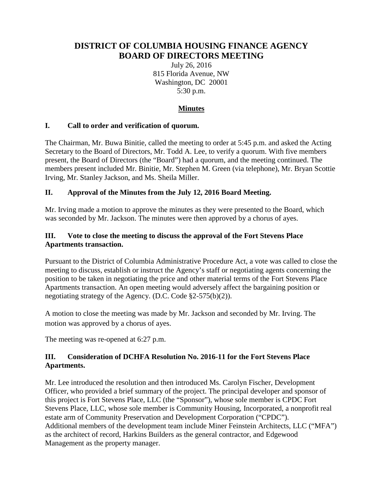# **DISTRICT OF COLUMBIA HOUSING FINANCE AGENCY BOARD OF DIRECTORS MEETING**

July 26, 2016 815 Florida Avenue, NW Washington, DC 20001 5:30 p.m.

## **Minutes**

#### **I. Call to order and verification of quorum.**

The Chairman, Mr. Buwa Binitie, called the meeting to order at 5:45 p.m. and asked the Acting Secretary to the Board of Directors, Mr. Todd A. Lee, to verify a quorum. With five members present, the Board of Directors (the "Board") had a quorum, and the meeting continued. The members present included Mr. Binitie, Mr. Stephen M. Green (via telephone), Mr. Bryan Scottie Irving, Mr. Stanley Jackson, and Ms. Sheila Miller.

#### **II. Approval of the Minutes from the July 12, 2016 Board Meeting.**

Mr. Irving made a motion to approve the minutes as they were presented to the Board, which was seconded by Mr. Jackson. The minutes were then approved by a chorus of ayes.

#### **III. Vote to close the meeting to discuss the approval of the Fort Stevens Place Apartments transaction.**

Pursuant to the District of Columbia Administrative Procedure Act, a vote was called to close the meeting to discuss, establish or instruct the Agency's staff or negotiating agents concerning the position to be taken in negotiating the price and other material terms of the Fort Stevens Place Apartments transaction. An open meeting would adversely affect the bargaining position or negotiating strategy of the Agency. (D.C. Code §2-575(b)(2)).

A motion to close the meeting was made by Mr. Jackson and seconded by Mr. Irving. The motion was approved by a chorus of ayes.

The meeting was re-opened at 6:27 p.m.

### **III. Consideration of DCHFA Resolution No. 2016-11 for the Fort Stevens Place Apartments.**

Mr. Lee introduced the resolution and then introduced Ms. Carolyn Fischer, Development Officer, who provided a brief summary of the project. The principal developer and sponsor of this project is Fort Stevens Place, LLC (the "Sponsor"), whose sole member is CPDC Fort Stevens Place, LLC, whose sole member is Community Housing, Incorporated, a nonprofit real estate arm of Community Preservation and Development Corporation ("CPDC"). Additional members of the development team include Miner Feinstein Architects, LLC ("MFA") as the architect of record, Harkins Builders as the general contractor, and Edgewood Management as the property manager.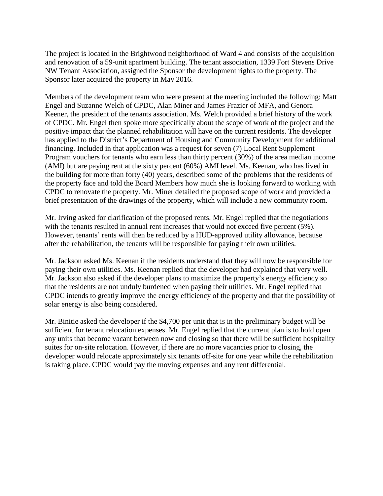The project is located in the Brightwood neighborhood of Ward 4 and consists of the acquisition and renovation of a 59-unit apartment building. The tenant association, 1339 Fort Stevens Drive NW Tenant Association, assigned the Sponsor the development rights to the property. The Sponsor later acquired the property in May 2016.

Members of the development team who were present at the meeting included the following: Matt Engel and Suzanne Welch of CPDC, Alan Miner and James Frazier of MFA, and Genora Keener, the president of the tenants association. Ms. Welch provided a brief history of the work of CPDC. Mr. Engel then spoke more specifically about the scope of work of the project and the positive impact that the planned rehabilitation will have on the current residents. The developer has applied to the District's Department of Housing and Community Development for additional financing. Included in that application was a request for seven (7) Local Rent Supplement Program vouchers for tenants who earn less than thirty percent (30%) of the area median income (AMI) but are paying rent at the sixty percent (60%) AMI level. Ms. Keenan, who has lived in the building for more than forty (40) years, described some of the problems that the residents of the property face and told the Board Members how much she is looking forward to working with CPDC to renovate the property. Mr. Miner detailed the proposed scope of work and provided a brief presentation of the drawings of the property, which will include a new community room.

Mr. Irving asked for clarification of the proposed rents. Mr. Engel replied that the negotiations with the tenants resulted in annual rent increases that would not exceed five percent (5%). However, tenants' rents will then be reduced by a HUD-approved utility allowance, because after the rehabilitation, the tenants will be responsible for paying their own utilities.

Mr. Jackson asked Ms. Keenan if the residents understand that they will now be responsible for paying their own utilities. Ms. Keenan replied that the developer had explained that very well. Mr. Jackson also asked if the developer plans to maximize the property's energy efficiency so that the residents are not unduly burdened when paying their utilities. Mr. Engel replied that CPDC intends to greatly improve the energy efficiency of the property and that the possibility of solar energy is also being considered.

Mr. Binitie asked the developer if the \$4,700 per unit that is in the preliminary budget will be sufficient for tenant relocation expenses. Mr. Engel replied that the current plan is to hold open any units that become vacant between now and closing so that there will be sufficient hospitality suites for on-site relocation. However, if there are no more vacancies prior to closing, the developer would relocate approximately six tenants off-site for one year while the rehabilitation is taking place. CPDC would pay the moving expenses and any rent differential.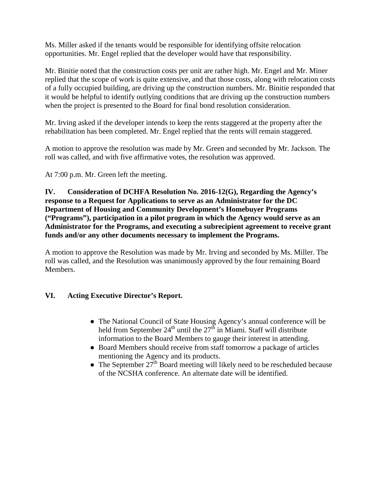Ms. Miller asked if the tenants would be responsible for identifying offsite relocation opportunities. Mr. Engel replied that the developer would have that responsibility.

Mr. Binitie noted that the construction costs per unit are rather high. Mr. Engel and Mr. Miner replied that the scope of work is quite extensive, and that those costs, along with relocation costs of a fully occupied building, are driving up the construction numbers. Mr. Binitie responded that it would be helpful to identify outlying conditions that are driving up the construction numbers when the project is presented to the Board for final bond resolution consideration.

Mr. Irving asked if the developer intends to keep the rents staggered at the property after the rehabilitation has been completed. Mr. Engel replied that the rents will remain staggered.

A motion to approve the resolution was made by Mr. Green and seconded by Mr. Jackson. The roll was called, and with five affirmative votes, the resolution was approved.

At 7:00 p.m. Mr. Green left the meeting.

**IV. Consideration of DCHFA Resolution No. 2016-12(G), Regarding the Agency's response to a Request for Applications to serve as an Administrator for the DC Department of Housing and Community Development's Homebuyer Programs ("Programs"), participation in a pilot program in which the Agency would serve as an Administrator for the Programs, and executing a subrecipient agreement to receive grant funds and/or any other documents necessary to implement the Programs.**

A motion to approve the Resolution was made by Mr. Irving and seconded by Ms. Miller. The roll was called, and the Resolution was unanimously approved by the four remaining Board Members.

#### **VI. Acting Executive Director's Report.**

- The National Council of State Housing Agency's annual conference will be held from September  $24<sup>th</sup>$  until the  $27<sup>th</sup>$  in Miami. Staff will distribute information to the Board Members to gauge their interest in attending.
- Board Members should receive from staff tomorrow a package of articles mentioning the Agency and its products.
- The September  $27<sup>th</sup>$  Board meeting will likely need to be rescheduled because of the NCSHA conference. An alternate date will be identified.